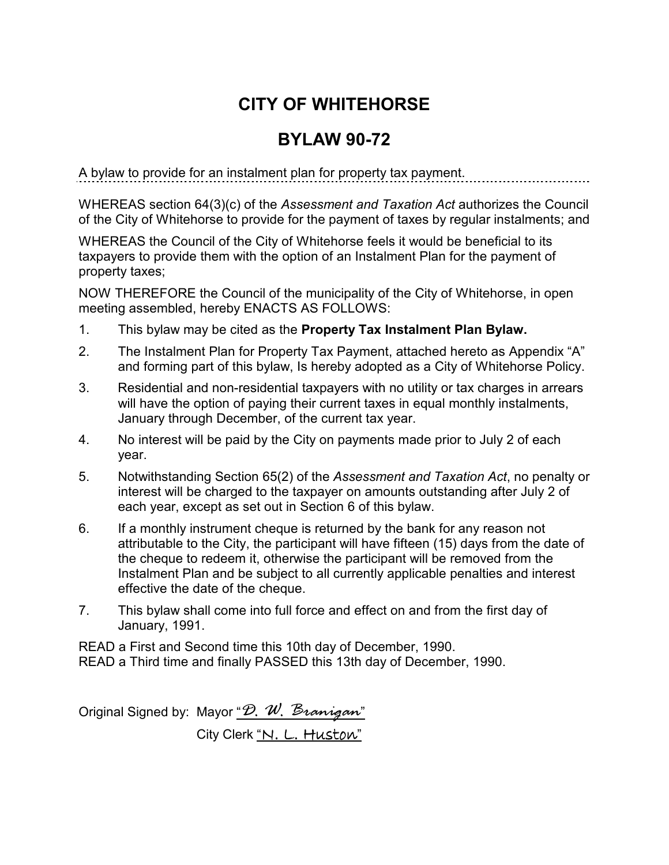## **CITY OF WHITEHORSE**

## **BYLAW 90-72**

A bylaw to provide for an instalment plan for property tax payment.

WHEREAS section 64(3)(c) of the *Assessment and Taxation Act* authorizes the Council of the City of Whitehorse to provide for the payment of taxes by regular instalments; and

WHEREAS the Council of the City of Whitehorse feels it would be beneficial to its taxpayers to provide them with the option of an Instalment Plan for the payment of property taxes;

NOW THEREFORE the Council of the municipality of the City of Whitehorse, in open meeting assembled, hereby ENACTS AS FOLLOWS:

- 1. This bylaw may be cited as the **Property Tax Instalment Plan Bylaw.**
- 2. The Instalment Plan for Property Tax Payment, attached hereto as Appendix "A" and forming part of this bylaw, Is hereby adopted as a City of Whitehorse Policy.
- 3. Residential and non-residential taxpayers with no utility or tax charges in arrears will have the option of paying their current taxes in equal monthly instalments, January through December, of the current tax year.
- 4. No interest will be paid by the City on payments made prior to July 2 of each year.
- 5. Notwithstanding Section 65(2) of the *Assessment and Taxation Act*, no penalty or interest will be charged to the taxpayer on amounts outstanding after July 2 of each year, except as set out in Section 6 of this bylaw.
- 6. If a monthly instrument cheque is returned by the bank for any reason not attributable to the City, the participant will have fifteen (15) days from the date of the cheque to redeem it, otherwise the participant will be removed from the Instalment Plan and be subject to all currently applicable penalties and interest effective the date of the cheque.
- 7. This bylaw shall come into full force and effect on and from the first day of January, 1991.

READ a First and Second time this 10th day of December, 1990. READ a Third time and finally PASSED this 13th day of December, 1990.

Original Signed by: Mayor "*D. W. Branigan*" City Clerk "N. L. Huston"